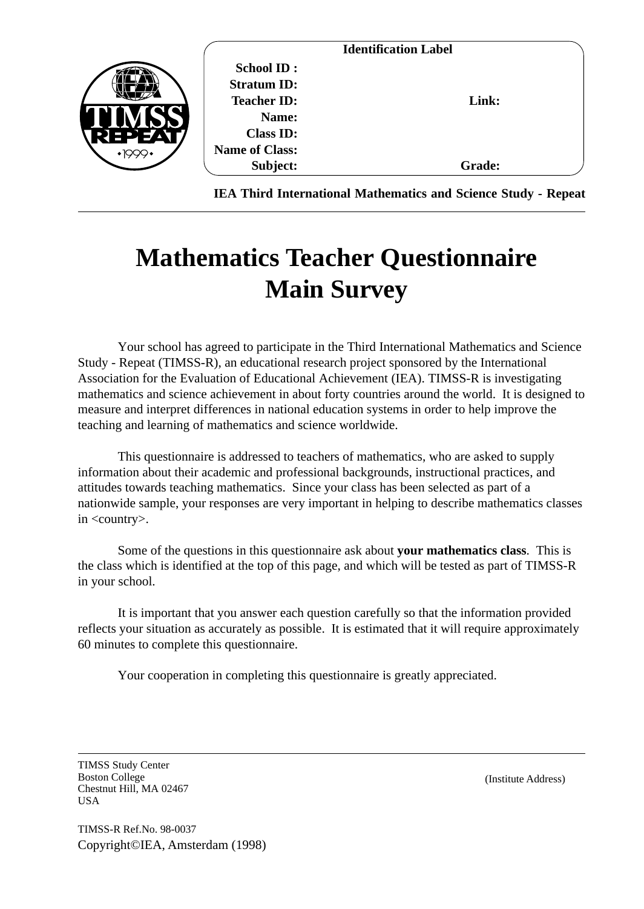|    |                       | <b>Identification Label</b> |               |
|----|-----------------------|-----------------------------|---------------|
|    | <b>School ID:</b>     |                             |               |
|    | <b>Stratum ID:</b>    |                             |               |
|    | <b>Teacher ID:</b>    |                             | Link:         |
|    | Name:                 |                             |               |
| ЕP | <b>Class ID:</b>      |                             |               |
|    | <b>Name of Class:</b> |                             |               |
|    | Subject:              |                             | <b>Grade:</b> |

**IEA Third International Mathematics and Science Study - Repeat**

# **Mathematics Teacher Questionnaire Main Survey**

Your school has agreed to participate in the Third International Mathematics and Science Study - Repeat (TIMSS-R), an educational research project sponsored by the International Association for the Evaluation of Educational Achievement (IEA). TIMSS-R is investigating mathematics and science achievement in about forty countries around the world. It is designed to measure and interpret differences in national education systems in order to help improve the teaching and learning of mathematics and science worldwide.

This questionnaire is addressed to teachers of mathematics, who are asked to supply information about their academic and professional backgrounds, instructional practices, and attitudes towards teaching mathematics. Since your class has been selected as part of a nationwide sample, your responses are very important in helping to describe mathematics classes in <country>.

Some of the questions in this questionnaire ask about **your mathematics class**. This is the class which is identified at the top of this page, and which will be tested as part of TIMSS-R in your school.

It is important that you answer each question carefully so that the information provided reflects your situation as accurately as possible. It is estimated that it will require approximately 60 minutes to complete this questionnaire.

Your cooperation in completing this questionnaire is greatly appreciated.

TIMSS Study Center Boston College Chestnut Hill, MA 02467 USA

(Institute Address)

TIMSS-R Ref.No. 98-0037 Copyright©IEA, Amsterdam (1998)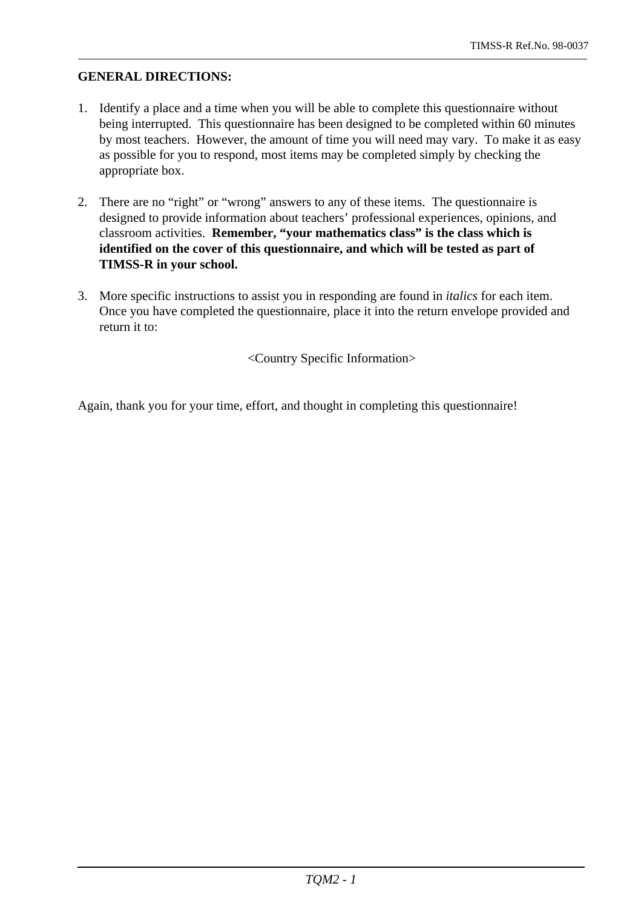### **GENERAL DIRECTIONS:**

- 1. Identify a place and a time when you will be able to complete this questionnaire without being interrupted. This questionnaire has been designed to be completed within 60 minutes by most teachers. However, the amount of time you will need may vary. To make it as easy as possible for you to respond, most items may be completed simply by checking the appropriate box.
- 2. There are no "right" or "wrong" answers to any of these items. The questionnaire is designed to provide information about teachers' professional experiences, opinions, and classroom activities. **Remember, "your mathematics class" is the class which is identified on the cover of this questionnaire, and which will be tested as part of TIMSS-R in your school.**
- 3. More specific instructions to assist you in responding are found in *italics* for each item. Once you have completed the questionnaire, place it into the return envelope provided and return it to:

<Country Specific Information>

Again, thank you for your time, effort, and thought in completing this questionnaire!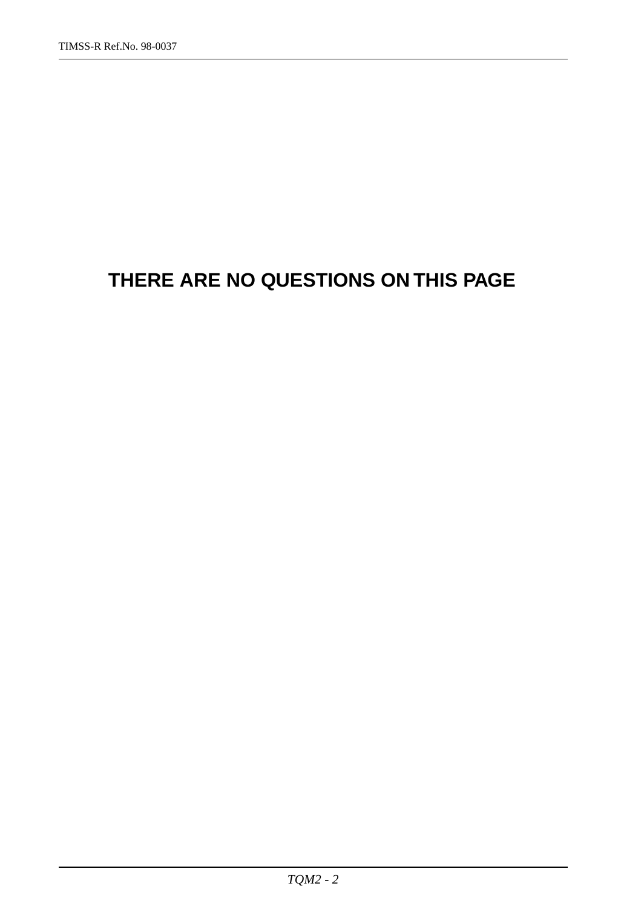## **THERE ARE NO QUESTIONS ON THIS PAGE**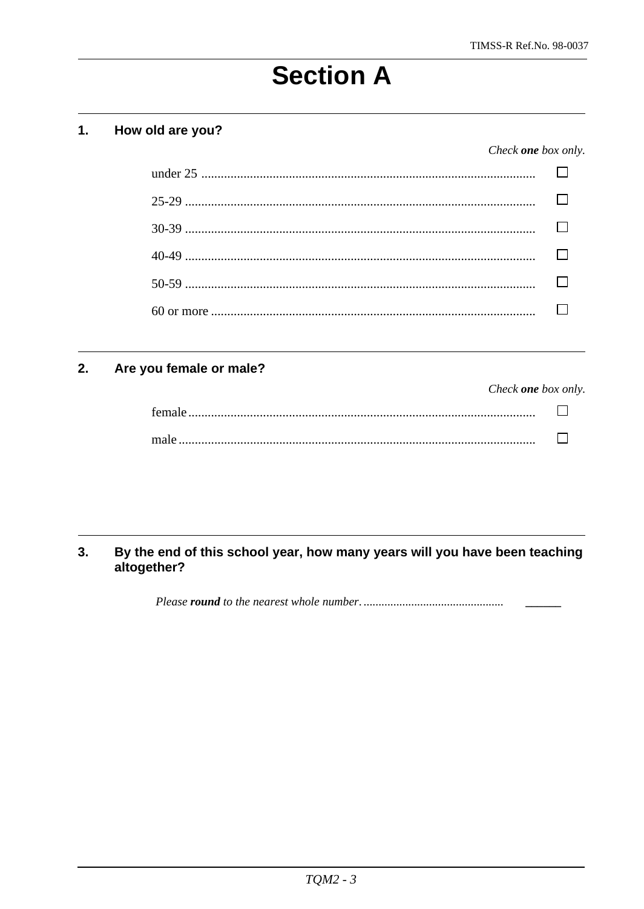# **Section A**

#### $1.$ How old are you?

#### Check one box only.

#### Are you female or male?  $2.$

| Check <b>one</b> box only. |  |
|----------------------------|--|
|                            |  |
|                            |  |

#### By the end of this school year, how many years will you have been teaching  $3.$ altogether?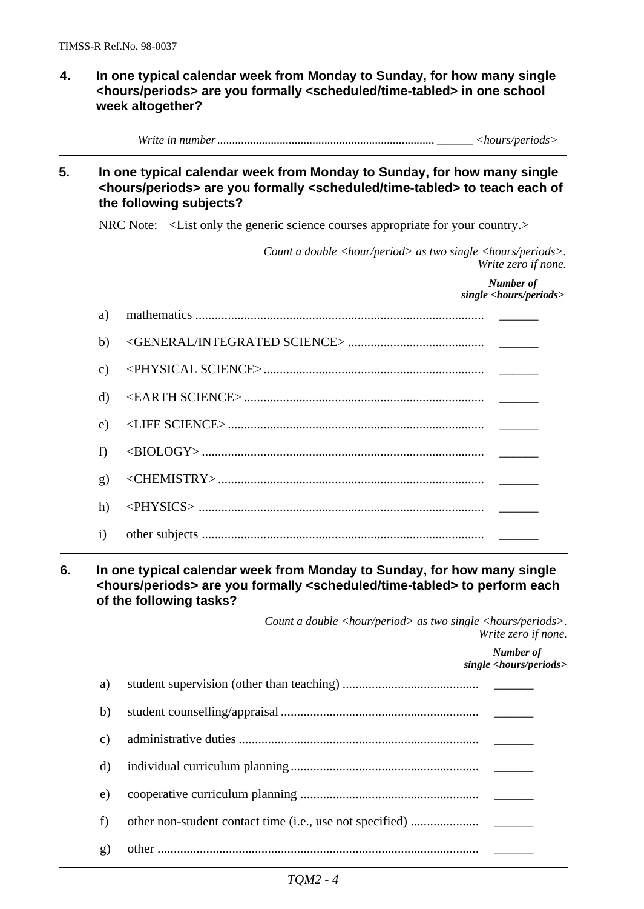#### **4. In one typical calendar week from Monday to Sunday, for how many single <hours/periods> are you formally <scheduled/time-tabled> in one school week altogether?**

*Write in number ......................................................................... \_\_\_\_\_\_ <hours/periods>*

#### **5. In one typical calendar week from Monday to Sunday, for how many single <hours/periods> are you formally <scheduled/time-tabled> to teach each of the following subjects?**

NRC Note: <List only the generic science courses appropriate for your country.>

*Count a double <hour/period> as two single <hours/periods>. Write zero if none.*

|                | Number of<br>single <hours periods=""></hours> |
|----------------|------------------------------------------------|
| a)             |                                                |
| b)             |                                                |
| $\mathbf{c}$ ) |                                                |
| d)             |                                                |
| e)             |                                                |
| f)             |                                                |
| g)             |                                                |
| h)             |                                                |
| $\mathbf{i}$   |                                                |

#### **6. In one typical calendar week from Monday to Sunday, for how many single <hours/periods> are you formally <scheduled/time-tabled> to perform each of the following tasks?**

*Count a double <hour/period> as two single <hours/periods>. Write zero if none.*

> *Number of single <hours/periods>*

| a) |  |
|----|--|
| b) |  |
| c) |  |
| d) |  |
| e) |  |
| f  |  |
| g) |  |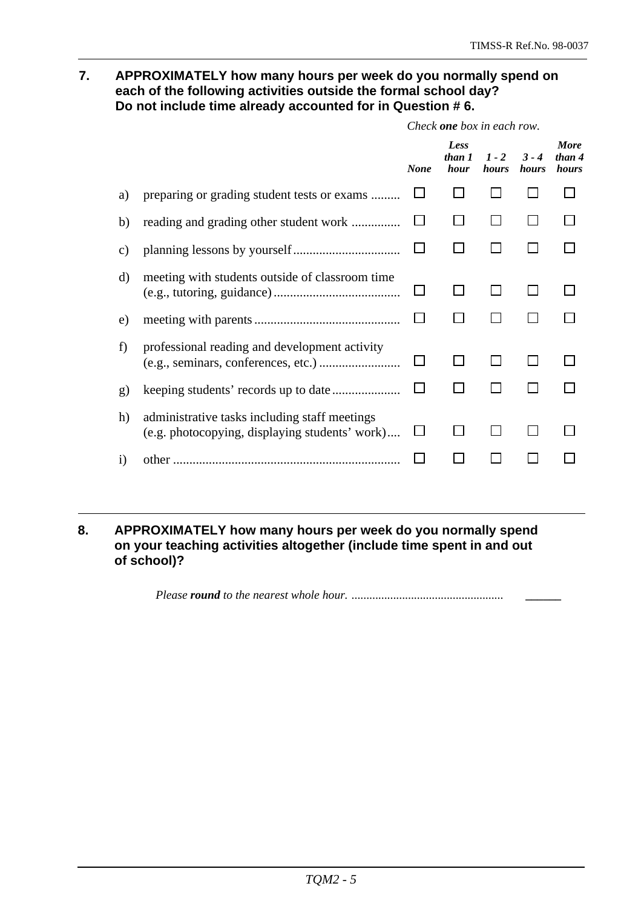#### **7. APPROXIMATELY how many hours per week do you normally spend on each of the following activities outside the formal school day? Do not include time already accounted for in Question # 6.**

|                 |                                                                                                 | Check <b>one</b> box in each row. |                        |                  |                  |                                |
|-----------------|-------------------------------------------------------------------------------------------------|-----------------------------------|------------------------|------------------|------------------|--------------------------------|
|                 |                                                                                                 | <b>None</b>                       | Less<br>than 1<br>hour | $1 - 2$<br>hours | $3 - 4$<br>hours | <b>More</b><br>than 4<br>hours |
| a)              | preparing or grading student tests or exams                                                     |                                   |                        |                  |                  |                                |
| b)              |                                                                                                 |                                   |                        |                  |                  |                                |
| $\mathcal{C}$ ) |                                                                                                 |                                   |                        |                  |                  |                                |
| d)              | meeting with students outside of classroom time                                                 |                                   |                        |                  |                  |                                |
| e)              |                                                                                                 |                                   |                        |                  |                  |                                |
| f)              | professional reading and development activity                                                   |                                   |                        |                  |                  |                                |
| g)              |                                                                                                 |                                   |                        |                  |                  |                                |
| h)              | administrative tasks including staff meetings<br>(e.g. photocopying, displaying students' work) |                                   |                        |                  |                  |                                |
| $\bf{1)}$       | other                                                                                           |                                   |                        |                  |                  |                                |
|                 |                                                                                                 |                                   |                        |                  |                  |                                |

#### **8. APPROXIMATELY how many hours per week do you normally spend on your teaching activities altogether (include time spent in and out of school)?**

*Please round to the nearest whole hour. ................................................... \_\_\_\_\_\_*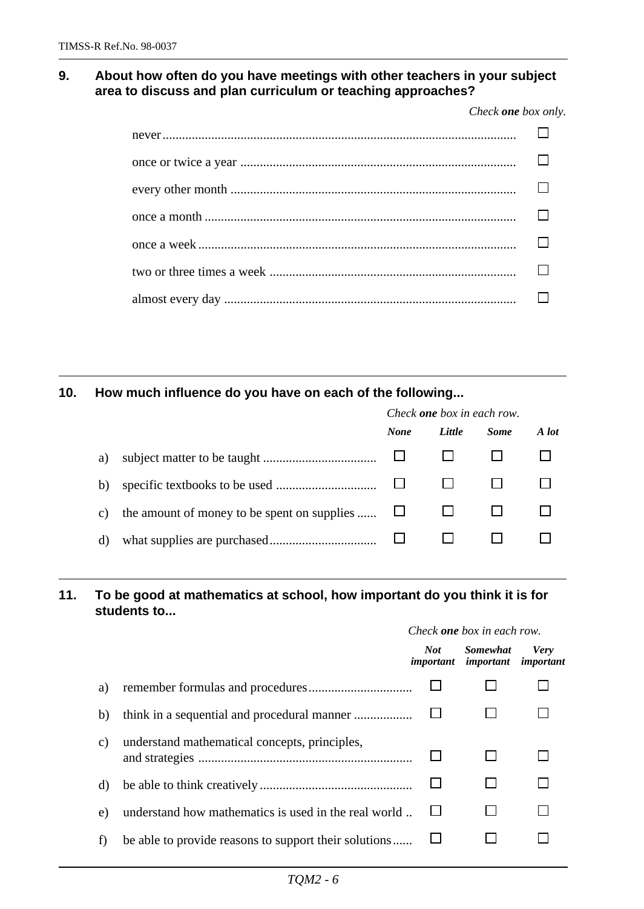#### **9. About how often do you have meetings with other teachers in your subject area to discuss and plan curriculum or teaching approaches?**

*Check one box only.*

#### **10. How much influence do you have on each of the following...**

|                 |                                             | Check <b>one</b> box in each row. |        |             |       |
|-----------------|---------------------------------------------|-----------------------------------|--------|-------------|-------|
|                 |                                             | <b>None</b>                       | Little | <b>Some</b> | A lot |
| a)              |                                             |                                   |        |             |       |
| b)              |                                             |                                   |        |             |       |
| $\mathcal{C}$ ) | the amount of money to be spent on supplies |                                   |        |             |       |
| d)              |                                             |                                   |        |             |       |

#### **11. To be good at mathematics at school, how important do you think it is for students to...**

|                                               | Not | <b>Somewhat</b>                                                                                               | <b>Very</b><br>important                                        |
|-----------------------------------------------|-----|---------------------------------------------------------------------------------------------------------------|-----------------------------------------------------------------|
|                                               |     |                                                                                                               |                                                                 |
|                                               |     |                                                                                                               |                                                                 |
| understand mathematical concepts, principles, |     |                                                                                                               |                                                                 |
|                                               |     |                                                                                                               |                                                                 |
|                                               |     |                                                                                                               |                                                                 |
|                                               |     |                                                                                                               |                                                                 |
|                                               |     | understand how mathematics is used in the real world<br>be able to provide reasons to support their solutions | Check <b>one</b> box in each row.<br><i>important important</i> |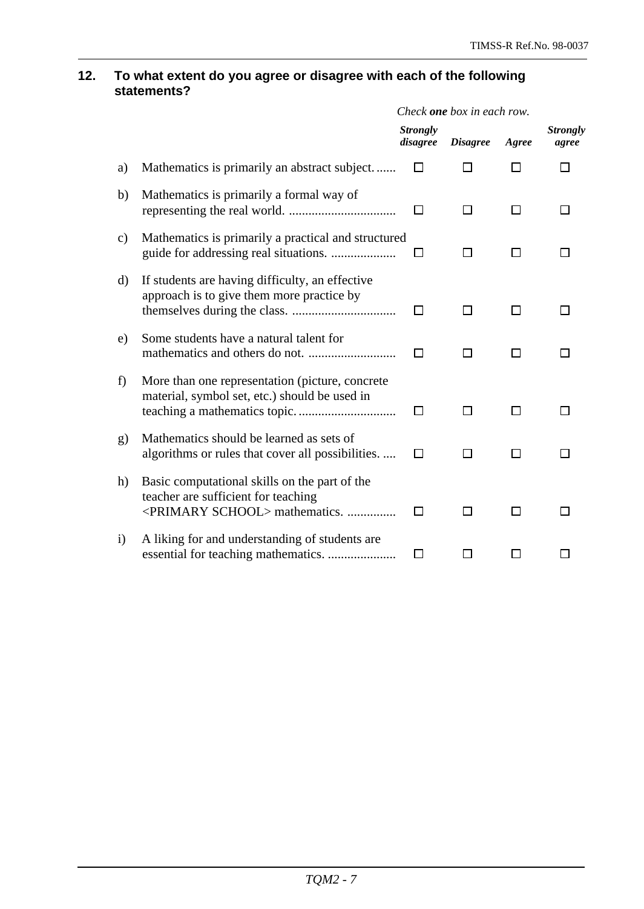#### **12. To what extent do you agree or disagree with each of the following statements?**

|               |                                                                                                                                     | Check <b>one</b> box in each row. |                 |       |                          |
|---------------|-------------------------------------------------------------------------------------------------------------------------------------|-----------------------------------|-----------------|-------|--------------------------|
|               |                                                                                                                                     | <b>Strongly</b><br>disagree       | <b>Disagree</b> | Agree | <b>Strongly</b><br>agree |
| a)            | Mathematics is primarily an abstract subject                                                                                        |                                   |                 | П     |                          |
| b)            | Mathematics is primarily a formal way of                                                                                            | П                                 | ΙI              | П     |                          |
| $\mathbf{c})$ | Mathematics is primarily a practical and structured                                                                                 | ΙI                                | П               | П     |                          |
| d)            | If students are having difficulty, an effective<br>approach is to give them more practice by                                        | П                                 |                 | □     |                          |
| e)            | Some students have a natural talent for                                                                                             | П                                 | П               | П     |                          |
| f)            | More than one representation (picture, concrete<br>material, symbol set, etc.) should be used in                                    | $\perp$                           | ΙI              | ΙI    |                          |
| g)            | Mathematics should be learned as sets of<br>algorithms or rules that cover all possibilities.                                       | l 1                               | l 1             | l 1   |                          |
| h)            | Basic computational skills on the part of the<br>teacher are sufficient for teaching<br><primary school=""> mathematics. </primary> | ΙI                                | ΙI              | ΙI    |                          |
| $\rm i)$      | A liking for and understanding of students are                                                                                      | ΙI                                |                 |       |                          |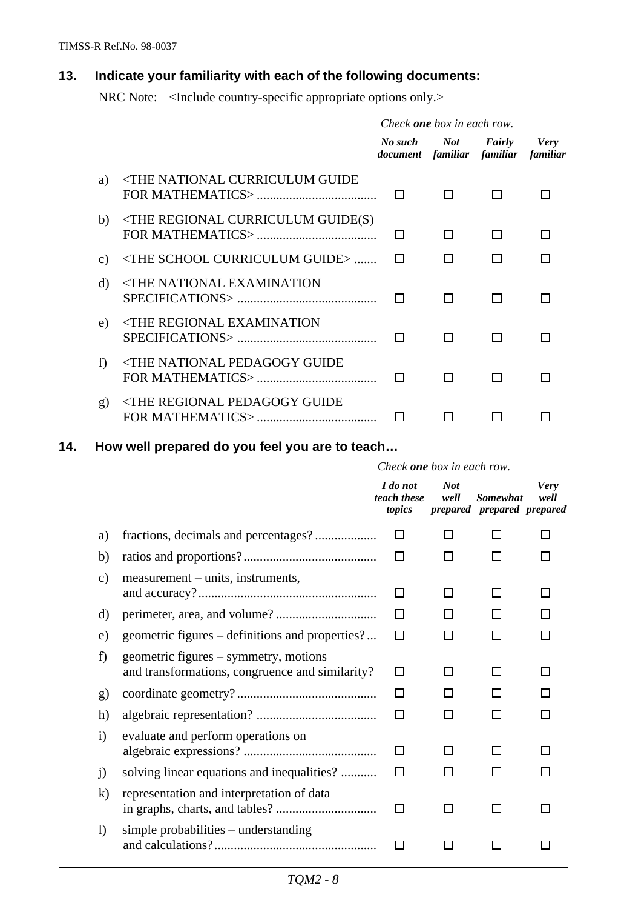## **13. Indicate your familiarity with each of the following documents:**

NRC Note: <Include country-specific appropriate options only.>

|                 |                                                                                                            | Check <b>one</b> box in each row.              |        |            |             |
|-----------------|------------------------------------------------------------------------------------------------------------|------------------------------------------------|--------|------------|-------------|
|                 |                                                                                                            | No such<br>document familiar familiar familiar |        | Not Fairly | <b>Very</b> |
| a)              | <the curriculum="" guide<="" national="" td=""><td>I I</td><td>- 1</td><td></td><td></td></the>            | I I                                            | - 1    |            |             |
| b)              | $\langle$ THE REGIONAL CURRICULUM GUIDE(S)                                                                 | $\mathbf{L}$                                   | П      | П          |             |
| $\mathcal{C}$ ) | <the curriculum="" guide="" school=""> </the>                                                              | $\mathbf{I}$                                   | П      |            |             |
| d)              | <the examination<br="" national="">SPECIFICATIONS &gt; 1</the>                                             |                                                | $\Box$ |            |             |
| e)              | <the examination<="" regional="" td=""><td></td><td>П</td><td>П</td><td></td></the>                        |                                                | П      | П          |             |
| f)              | <the guide<="" national="" pedagogy="" td=""><td><math>\Box</math></td><td>П</td><td>H</td><td></td></the> | $\Box$                                         | П      | H          |             |
| $\mathbf{g}$    | <the guide<="" pedagogy="" regional="" td=""><td></td><td></td><td></td><td></td></the>                    |                                                |        |            |             |

**14. How well prepared do you feel you are to teach…**

|                        |                                                                                          | Check <b>one</b> box in each row. |                    |                                               |                     |
|------------------------|------------------------------------------------------------------------------------------|-----------------------------------|--------------------|-----------------------------------------------|---------------------|
|                        |                                                                                          | I do not<br>teach these<br>topics | <b>Not</b><br>well | <b>Somewhat</b><br>prepared prepared prepared | <b>Very</b><br>well |
| a)                     |                                                                                          | П                                 | П                  | П                                             |                     |
| b)                     |                                                                                          | П                                 | ΙI                 |                                               |                     |
| $\mathbf{c})$          | measurement – units, instruments,                                                        | П                                 | П                  | П                                             |                     |
| d)                     |                                                                                          |                                   |                    | H                                             |                     |
| e)                     | geometric figures – definitions and properties?                                          | П                                 | ⊓                  | П                                             |                     |
| f)                     | geometric figures – symmetry, motions<br>and transformations, congruence and similarity? | □                                 | П                  | П                                             | $\mathbf{I}$        |
| $\mathbf{g}$           |                                                                                          | П                                 | l 1                | П                                             |                     |
| h)                     |                                                                                          | П                                 | $\mathsf{L}$       | П                                             | l 1                 |
| $\mathbf{i}$           | evaluate and perform operations on                                                       | П                                 | l 1                | l 1                                           |                     |
| $\overline{1}$         | solving linear equations and inequalities?                                               | П                                 | l 1                | ΙI                                            |                     |
| $\bf k)$               | representation and interpretation of data                                                | П                                 | П                  | П                                             |                     |
| $\left  \right\rangle$ | simple probabilities – understanding                                                     |                                   |                    |                                               |                     |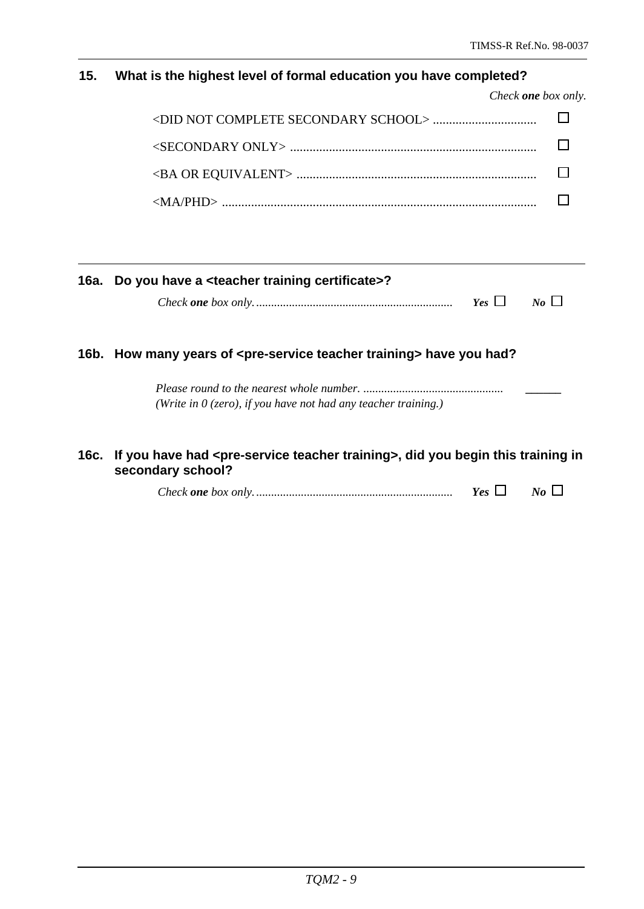## **15. What is the highest level of formal education you have completed?**

| Check <b>one</b> box only. |  |
|----------------------------|--|
|                            |  |
|                            |  |
|                            |  |
|                            |  |

|      | 16a. Do you have a <teacher certificate="" training="">?</teacher>                                                       |
|------|--------------------------------------------------------------------------------------------------------------------------|
|      | $Yes \Box$<br>$N_o$                                                                                                      |
|      | 16b. How many years of <pre-service teacher="" training=""> have you had?</pre-service>                                  |
|      | (Write in $\theta$ (zero), if you have not had any teacher training.)                                                    |
| 16c. | If you have had <pre-service teacher="" training="">, did you begin this training in<br/>secondary school?</pre-service> |
|      | Yes $\Box$<br>$N_{0}$                                                                                                    |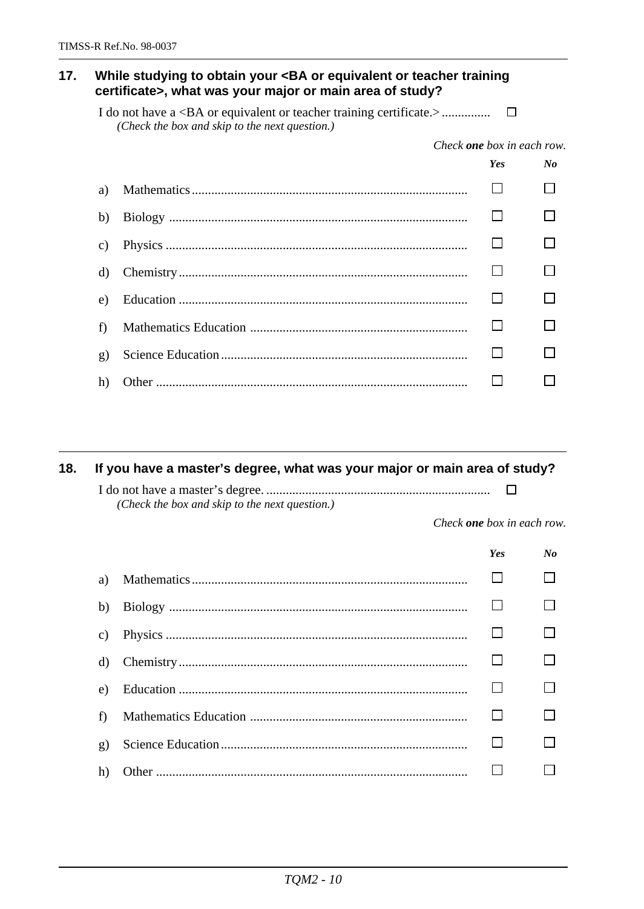#### While studying to obtain your <BA or equivalent or teacher training  $17.$ certificate>, what was your major or main area of study?

(Check the box and skip to the next question.)

Check **one** box in each row.

|    | <b>Yes</b> | $\mathbf{N}$ |
|----|------------|--------------|
| a) |            |              |
| b) |            |              |
| C) |            |              |
| d) |            |              |
| e) |            |              |
| f  |            |              |
| g) |            |              |
| h) |            |              |

#### If you have a master's degree, what was your major or main area of study? 18.

 $\Box$ (Check the box and skip to the next question.)

Check one box in each row.

|    | <b>Yes</b> | No |
|----|------------|----|
| a) |            |    |
| b) |            |    |
| C) |            |    |
| d) |            |    |
| e) |            |    |
| f  |            |    |
| g) |            |    |
| h) |            |    |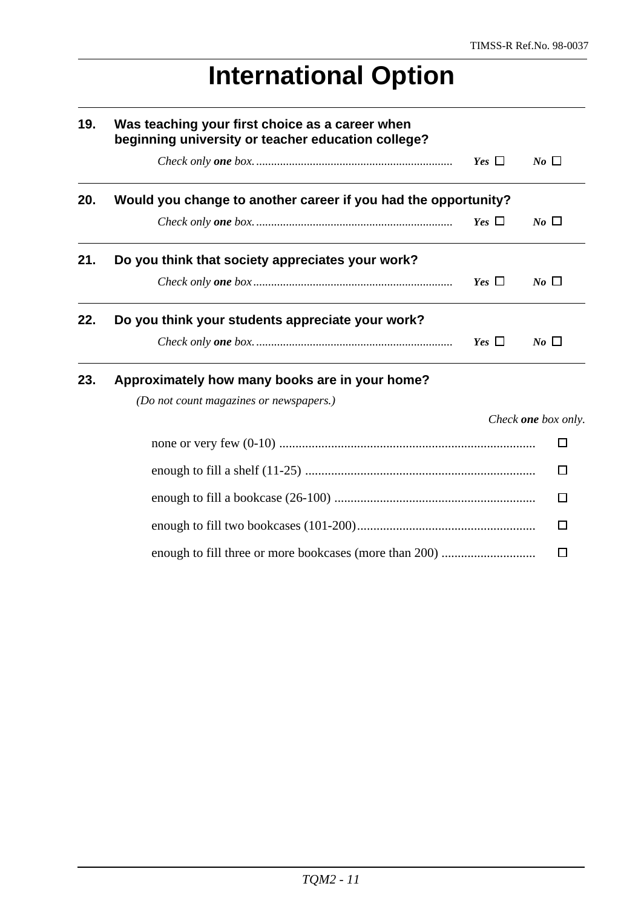$\Box$ 

# **International Option**

| 19. | Was teaching your first choice as a career when<br>beginning university or teacher education college? |            |                     |
|-----|-------------------------------------------------------------------------------------------------------|------------|---------------------|
|     |                                                                                                       | Yes $\Box$ | $N_o$ $\Box$        |
| 20. | Would you change to another career if you had the opportunity?                                        |            |                     |
|     |                                                                                                       | Yes $\Box$ | $N_o$ $\Box$        |
| 21. | Do you think that society appreciates your work?                                                      |            |                     |
|     |                                                                                                       | Yes $\Box$ | $No \ \Box$         |
| 22. | Do you think your students appreciate your work?                                                      |            |                     |
|     |                                                                                                       | Yes $\Box$ | $N_o$ $\Box$        |
| 23. | Approximately how many books are in your home?                                                        |            |                     |
|     | (Do not count magazines or newspapers.)                                                               |            |                     |
|     |                                                                                                       |            | Check one box only. |
|     |                                                                                                       |            | $\Box$              |
|     |                                                                                                       |            | П                   |
|     |                                                                                                       |            | ΙI                  |
|     |                                                                                                       |            | П                   |

enough to fill three or more bookcases (more than 200) .................................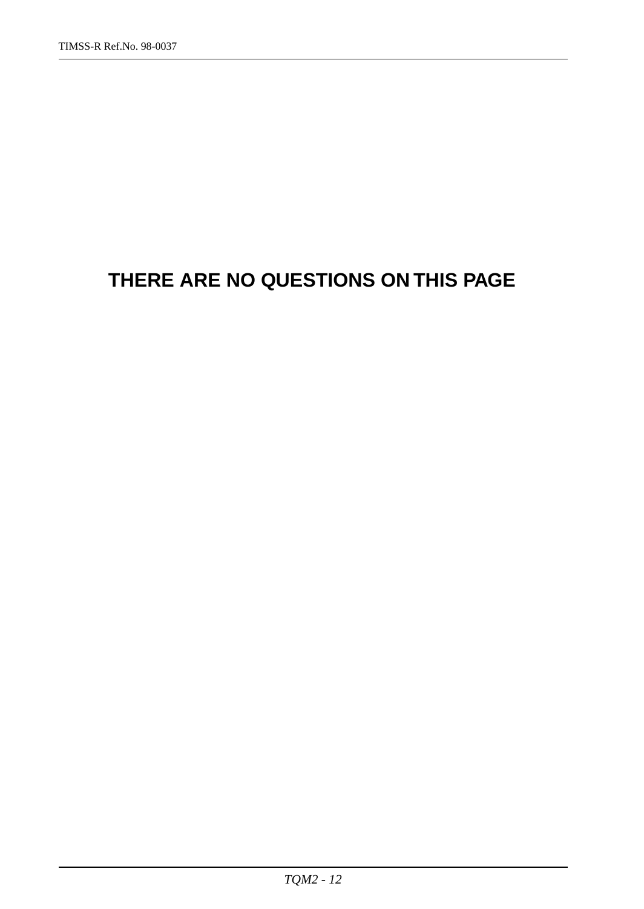## **THERE ARE NO QUESTIONS ON THIS PAGE**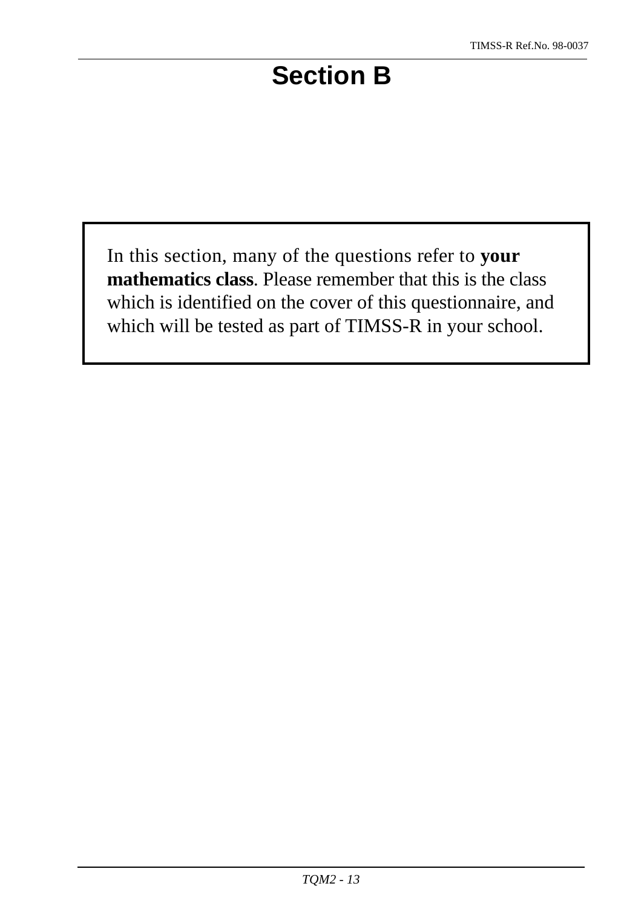# **Section B**

In this section, many of the questions refer to **your mathematics class**. Please remember that this is the class which is identified on the cover of this questionnaire, and which will be tested as part of TIMSS-R in your school.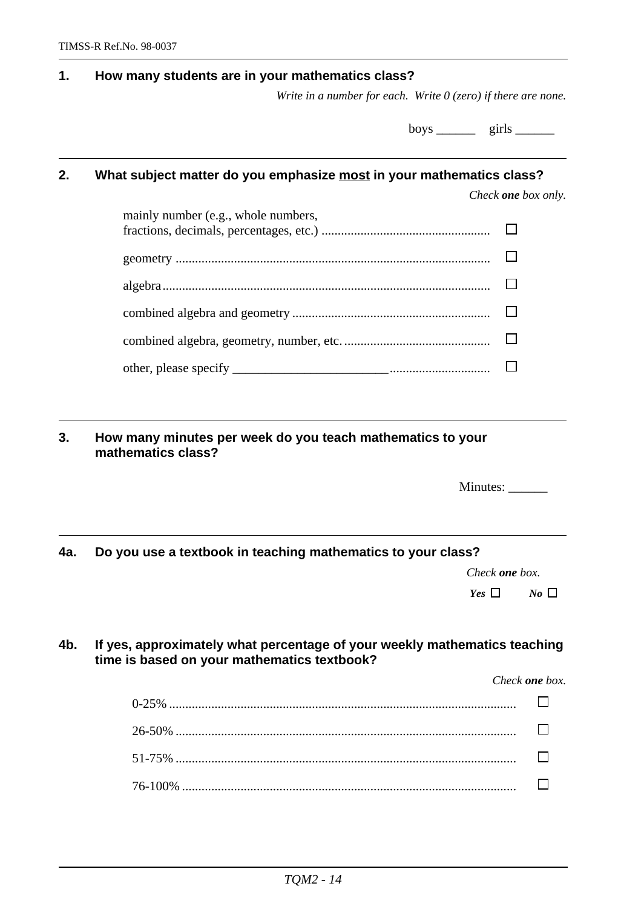#### **1. How many students are in your mathematics class?**

*Write in a number for each. Write 0 (zero) if there are none.*

boys \_\_\_\_\_\_\_\_ girls \_\_\_\_\_\_\_

### **2. What subject matter do you emphasize most in your mathematics class?**

*Check one box only.*

| mainly number (e.g., whole numbers, |  |
|-------------------------------------|--|
|                                     |  |
|                                     |  |
|                                     |  |
|                                     |  |
|                                     |  |

**3. How many minutes per week do you teach mathematics to your mathematics class?**

| Minutes: |  |
|----------|--|
|----------|--|

#### **4a. Do you use a textbook in teaching mathematics to your class?**

*Check one box.*

*Yes*  $\Box$  *No*  $\Box$ 

#### **4b. If yes, approximately what percentage of your weekly mathematics teaching time is based on your mathematics textbook?**

*Check one box.*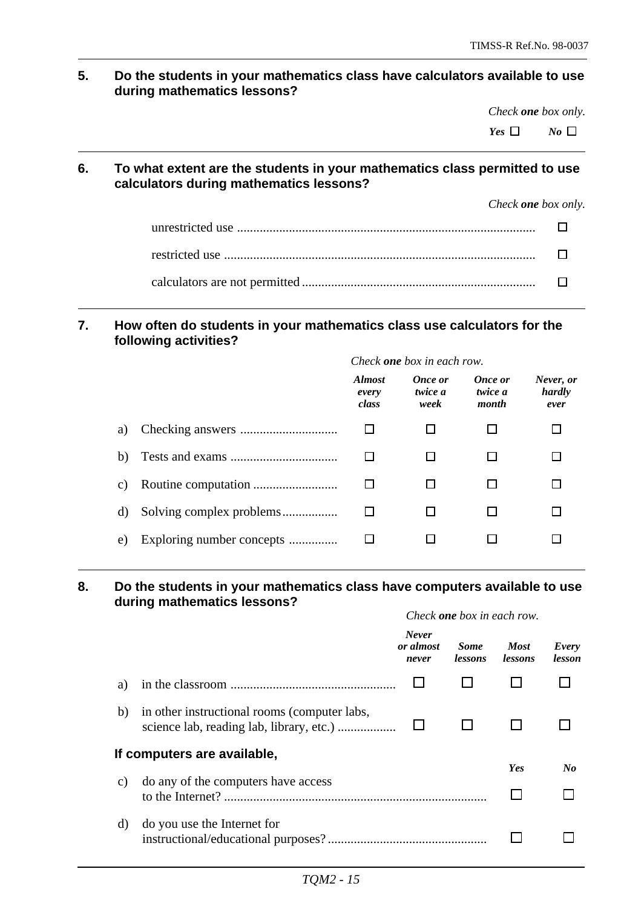**5. Do the students in your mathematics class have calculators available to use during mathematics lessons?**

*Check one box only.*

*Yes*  $\Box$  *No*  $\Box$ 

#### **6. To what extent are the students in your mathematics class permitted to use calculators during mathematics lessons?**

*Check one box only.*

#### **7. How often do students in your mathematics class use calculators for the following activities?**

|    |                           | Check <b>one</b> box in each row. |                            |                             |                             |
|----|---------------------------|-----------------------------------|----------------------------|-----------------------------|-----------------------------|
|    |                           | <b>Almost</b><br>every<br>class   | Once or<br>twice a<br>week | Once or<br>twice a<br>month | Never, or<br>hardly<br>ever |
| a) |                           |                                   |                            |                             |                             |
| b) |                           |                                   |                            |                             |                             |
| C) |                           |                                   |                            |                             |                             |
| d) |                           |                                   |                            |                             |                             |
| e) | Exploring number concepts |                                   |                            |                             |                             |

#### **8. Do the students in your mathematics class have computers available to use during mathematics lessons?**

|    |                                              | Check <b>one</b> box in each row.  |                               |                               |                 |
|----|----------------------------------------------|------------------------------------|-------------------------------|-------------------------------|-----------------|
|    |                                              | <b>Never</b><br>or almost<br>never | <b>Some</b><br><i>lessons</i> | <b>Most</b><br><i>lessons</i> | Every<br>lesson |
| a) |                                              |                                    |                               |                               |                 |
| b) | in other instructional rooms (computer labs, |                                    |                               |                               |                 |
|    | If computers are available,                  |                                    |                               | Yes                           | No              |
| C) | do any of the computers have access          |                                    |                               |                               |                 |
| d) | do you use the Internet for                  |                                    |                               |                               |                 |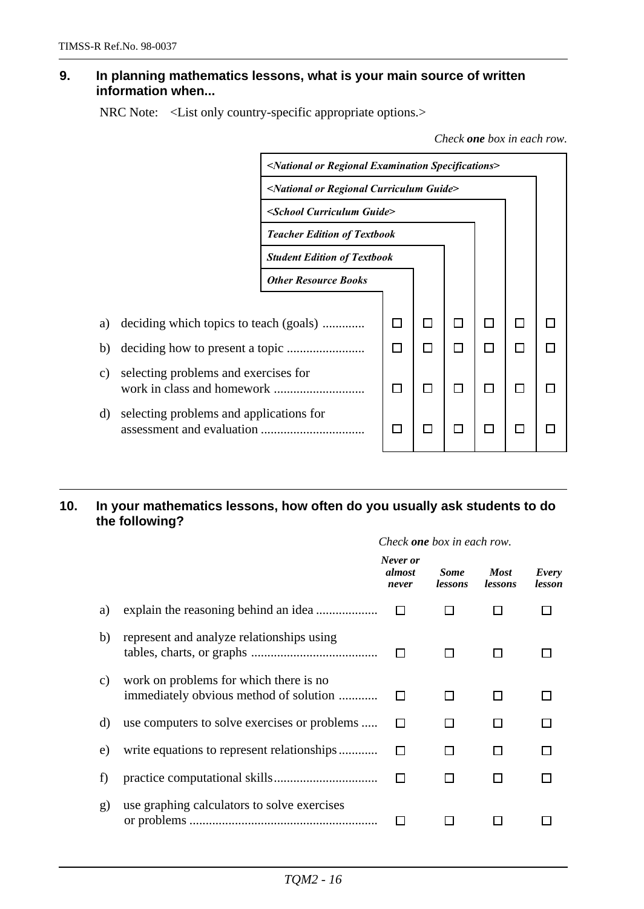#### **9. In planning mathematics lessons, what is your main source of written information when...**

NRC Note: <List only country-specific appropriate options.>

*Check one box in each row.*



#### **10. In your mathematics lessons, how often do you usually ask students to do the following?**

|    |                                                                                  | Check <b>one</b> box in each row.  |                               |                               |                 |
|----|----------------------------------------------------------------------------------|------------------------------------|-------------------------------|-------------------------------|-----------------|
|    |                                                                                  | Never or<br><i>almost</i><br>never | <b>Some</b><br><i>lessons</i> | <b>Most</b><br><i>lessons</i> | Every<br>lesson |
| a) |                                                                                  |                                    |                               |                               |                 |
| b) | represent and analyze relationships using                                        |                                    | $\Box$                        |                               |                 |
| C) | work on problems for which there is no<br>immediately obvious method of solution |                                    | H                             |                               |                 |
| d) | use computers to solve exercises or problems                                     |                                    | l 1                           |                               |                 |
| e) | write equations to represent relationships                                       |                                    | l I                           |                               |                 |
| f) |                                                                                  |                                    | $\perp$                       |                               |                 |
| g) | use graphing calculators to solve exercises                                      |                                    |                               |                               |                 |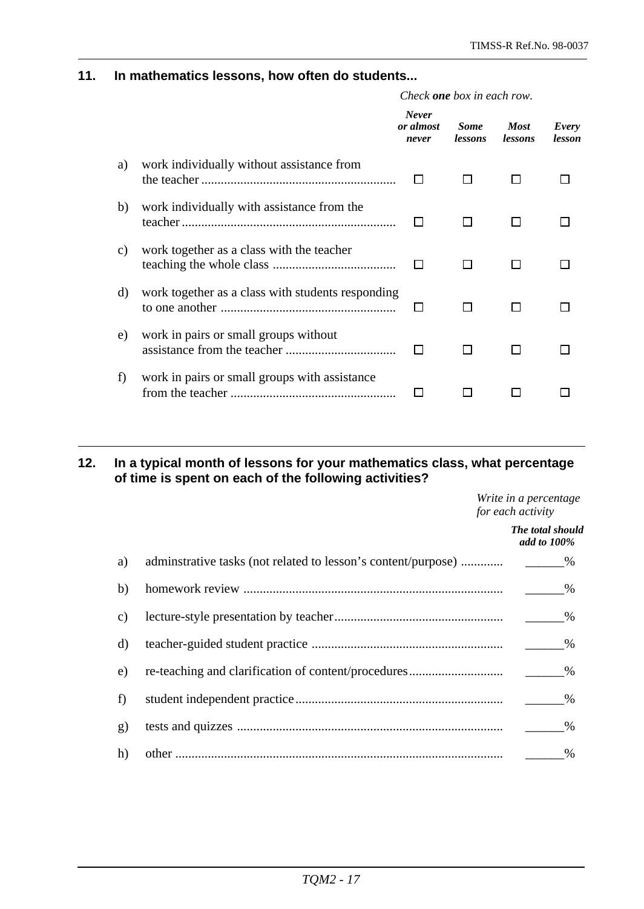#### **11. In mathematics lessons, how often do students...**

|    |                                                   | Check <b>one</b> box in each row.  |                        |                               |                 |  |
|----|---------------------------------------------------|------------------------------------|------------------------|-------------------------------|-----------------|--|
|    |                                                   | <b>Never</b><br>or almost<br>never | <b>Some</b><br>lessons | <b>Most</b><br><i>lessons</i> | Every<br>lesson |  |
| a) | work individually without assistance from         |                                    |                        |                               |                 |  |
| b) | work individually with assistance from the        |                                    |                        |                               |                 |  |
| C) | work together as a class with the teacher         |                                    |                        |                               |                 |  |
| d) | work together as a class with students responding |                                    |                        |                               |                 |  |
| e) | work in pairs or small groups without             |                                    |                        |                               |                 |  |
| f) | work in pairs or small groups with assistance     |                                    |                        |                               |                 |  |

#### **12. In a typical month of lessons for your mathematics class, what percentage of time is spent on each of the following activities?**

*Write in a percentage for each activity*

*The total should add to 100%* a) adminstrative tasks (not related to lesson's content/purpose) ............... b) homework review ................................................................................ \_\_\_\_\_\_% c) lecture-style presentation by teacher.................................................... \_\_\_\_\_\_% d) teacher-guided student practice ........................................................... \_\_\_\_\_\_% e) re-teaching and clarification of content/procedures............................. \_\_\_\_\_\_% f) student independent practice................................................................ \_\_\_\_\_\_% g) tests and quizzes .................................................................................. \_\_\_\_\_\_% h) other ..................................................................................................... \_\_\_\_\_\_%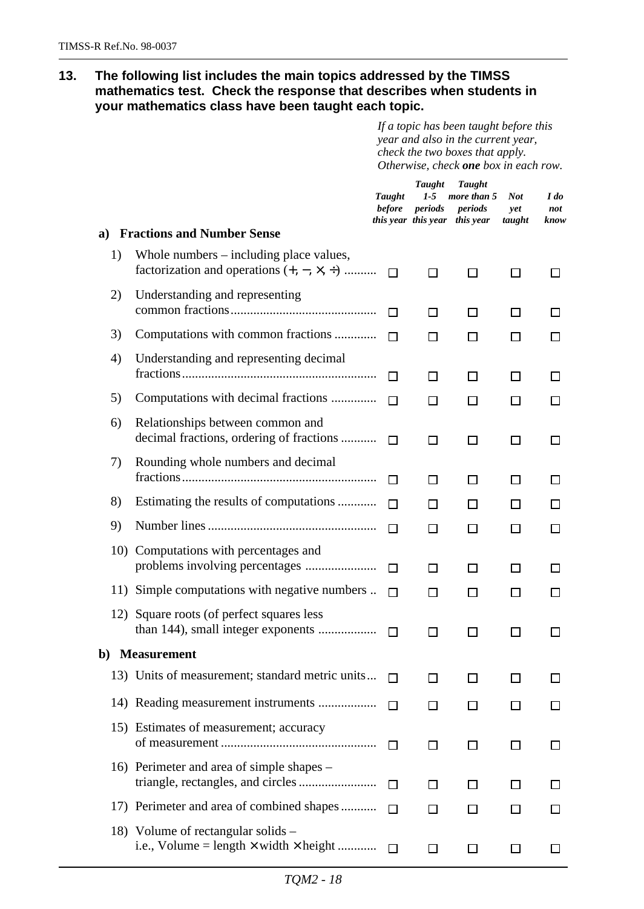**13. The following list includes the main topics addressed by the TIMSS mathematics test. Check the response that describes when students in your mathematics class have been taught each topic.**

> *If a topic has been taught before this year and also in the current year, check the two boxes that apply. Otherwise, check one box in each row.*

|     |                                                                                                  | Taught<br><b>before</b> | <b>Taught</b><br>$1-5$<br>periods | Taught<br>more than 5<br>periods<br>this year this year this year | <b>Not</b><br>yet<br>taught | I do<br>not<br>know |
|-----|--------------------------------------------------------------------------------------------------|-------------------------|-----------------------------------|-------------------------------------------------------------------|-----------------------------|---------------------|
| a)  | <b>Fractions and Number Sense</b>                                                                |                         |                                   |                                                                   |                             |                     |
| 1)  | Whole numbers $-$ including place values,<br>factorization and operations $(+, -, \times, \div)$ | П                       | □                                 | П                                                                 | П                           | ΙI                  |
| 2)  | Understanding and representing                                                                   | П                       | П                                 | П                                                                 | П                           |                     |
| 3)  | Computations with common fractions                                                               | П                       | П                                 | LΙ                                                                | ΙI                          |                     |
| 4)  | Understanding and representing decimal                                                           | П                       | □                                 | $\perp$                                                           | ΙI                          | ΙI                  |
| 5)  | Computations with decimal fractions                                                              | П                       | П                                 | LΙ                                                                | ΙI                          | l 1                 |
| 6)  | Relationships between common and<br>decimal fractions, ordering of fractions                     | П                       | П                                 | $\Box$                                                            | П                           | ΙI                  |
| 7)  | Rounding whole numbers and decimal                                                               | П                       | П                                 | П                                                                 | ΙI                          | ΙI                  |
| 8)  | Estimating the results of computations                                                           | П                       | П                                 | LΙ                                                                | ΙI                          |                     |
| 9)  |                                                                                                  | П                       | П                                 | $\perp$                                                           | $\Box$                      | ΙI                  |
| 10) | Computations with percentages and                                                                | П                       | П                                 | $\perp$                                                           | ΙI                          | ΙI                  |
|     | 11) Simple computations with negative numbers                                                    | П                       | ΙI                                | LΙ                                                                | ΙI                          | ΙI                  |
| 12) | Square roots (of perfect squares less                                                            | П                       | П                                 | П                                                                 | ΙI                          |                     |
|     | b) Measurement                                                                                   |                         |                                   |                                                                   |                             |                     |
|     | 13) Units of measurement; standard metric units                                                  |                         | $\mathsf{L}$                      |                                                                   |                             |                     |
|     |                                                                                                  | П                       | $\perp$                           | LΙ                                                                | ΙI                          |                     |
|     | 15) Estimates of measurement; accuracy                                                           | $\mathbf{L}$            | ப                                 | ΙI                                                                | ΙI                          |                     |
|     | 16) Perimeter and area of simple shapes –                                                        | П                       | $\Box$                            | LΙ                                                                | ΙI                          |                     |
|     | 17) Perimeter and area of combined shapes                                                        | П                       | $\Box$                            | LΙ                                                                | ΙI                          |                     |
|     | 18) Volume of rectangular solids –<br>i.e., Volume = $length \times width \times height$         |                         | ΙI                                | LΙ                                                                | ΙI                          |                     |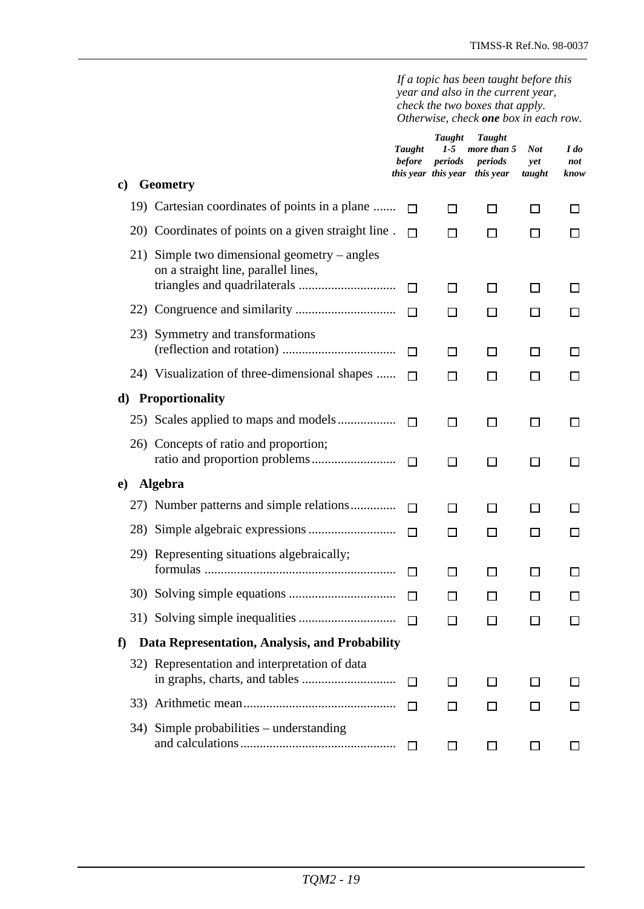*If a topic has been taught before this year and also in the current year, check the two boxes that apply. Otherwise, check one box in each row.*

| $\mathbf{c})$ | <b>Geometry</b>                                                                     | Taught<br><b>before</b> | <b>Taught</b><br>$1-5$<br>periods | <b>Taught</b><br>more than 5<br>periods<br>this year this year this year | Not<br>yet<br>taught | I do<br>not<br>know |
|---------------|-------------------------------------------------------------------------------------|-------------------------|-----------------------------------|--------------------------------------------------------------------------|----------------------|---------------------|
|               | 19) Cartesian coordinates of points in a plane                                      | П                       | П                                 | ΙI                                                                       | ΙI                   | ΙI                  |
|               | 20) Coordinates of points on a given straight line.                                 | п                       | П                                 | П                                                                        | П                    | ΙI                  |
|               | 21) Simple two dimensional geometry – angles<br>on a straight line, parallel lines, | П                       | П                                 | П                                                                        | $\mathsf{L}$         | ΙI                  |
|               |                                                                                     | П                       | П                                 | П                                                                        | П                    | П                   |
|               | 23) Symmetry and transformations                                                    | П                       | П                                 | П                                                                        | $\mathsf{L}$         |                     |
|               | 24) Visualization of three-dimensional shapes                                       | П                       | П                                 | П                                                                        | П                    | ΙI                  |
| d)            | <b>Proportionality</b>                                                              |                         |                                   |                                                                          |                      |                     |
|               |                                                                                     | П                       | □                                 | □                                                                        | П                    | ΙI                  |
|               | 26) Concepts of ratio and proportion;                                               | П                       | П                                 | П                                                                        | П                    | ΙI                  |
| $\bf e)$      | <b>Algebra</b>                                                                      |                         |                                   |                                                                          |                      |                     |
|               | 27) Number patterns and simple relations                                            | П                       | П                                 | П                                                                        | П                    | ΙI                  |
|               |                                                                                     | П                       | П                                 | П                                                                        | П                    | ப                   |
|               | 29) Representing situations algebraically;                                          | $\Box$                  | П                                 | П                                                                        | $\Box$               | ΙI                  |
|               |                                                                                     | П                       | П                                 | П                                                                        | $\mathbf{L}$         | $\mathsf{L}$        |
|               |                                                                                     | $\Box$                  | $\Box$                            | $\Box$                                                                   | $\Box$               | $\Box$              |
| f             | Data Representation, Analysis, and Probability                                      |                         |                                   |                                                                          |                      |                     |
|               | 32) Representation and interpretation of data                                       | П                       | $\mathsf{L}$                      | $\Box$                                                                   | $\Box$               | ΙI                  |
|               |                                                                                     | $\Box$                  | $\Box$                            | LΙ                                                                       |                      |                     |
|               | 34) Simple probabilities – understanding                                            | П                       | ப                                 | LΙ                                                                       | LΙ                   |                     |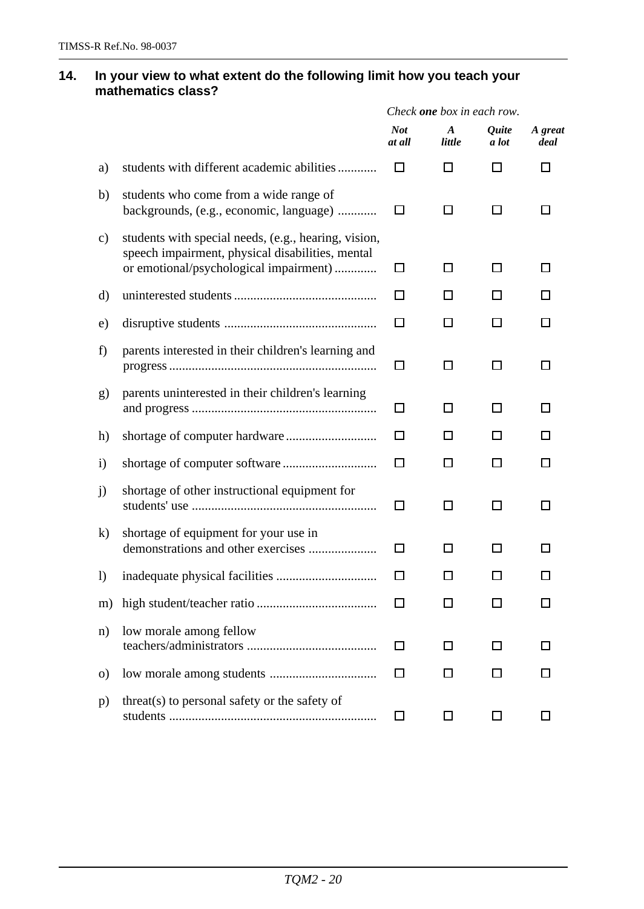#### **14. In your view to what extent do the following limit how you teach your mathematics class?**

|               |                                                                                                                                                    | Check one box in each row. |                            |                                     |                 |  |
|---------------|----------------------------------------------------------------------------------------------------------------------------------------------------|----------------------------|----------------------------|-------------------------------------|-----------------|--|
|               |                                                                                                                                                    | <b>Not</b><br>at all       | $\boldsymbol{A}$<br>little | <i><u><b>Ouite</b></u></i><br>a lot | A great<br>deal |  |
| a)            | students with different academic abilities                                                                                                         | $\mathsf{L}$               | ΙI                         | ΙI                                  | l I             |  |
| b)            | students who come from a wide range of<br>backgrounds, (e.g., economic, language)                                                                  | □                          | □                          | □                                   | ΙI              |  |
| $\mathbf{c})$ | students with special needs, (e.g., hearing, vision,<br>speech impairment, physical disabilities, mental<br>or emotional/psychological impairment) | $\Box$                     | П                          | П                                   | ΙI              |  |
| d)            |                                                                                                                                                    | П                          | ΙI                         |                                     |                 |  |
| e)            |                                                                                                                                                    | $\Box$                     | ΙI                         | ΙI                                  |                 |  |
| f)            | parents interested in their children's learning and                                                                                                | □                          | П                          | П                                   | ΙI              |  |
| g)            | parents uninterested in their children's learning                                                                                                  | $\Box$                     | ΙI                         | ΙI                                  | ΙI              |  |
| h)            |                                                                                                                                                    | П                          | $\Box$                     | П                                   |                 |  |
| $\mathbf{i}$  |                                                                                                                                                    | П                          | П                          | П                                   | П               |  |
| j)            | shortage of other instructional equipment for                                                                                                      | □                          | □                          | П                                   | ΙI              |  |
| $\bf k)$      | shortage of equipment for your use in                                                                                                              | П                          | П                          | ΙI                                  |                 |  |
| $\bf{I}$      |                                                                                                                                                    | ΙI                         | ΙI                         |                                     |                 |  |
| m)            |                                                                                                                                                    |                            | ΙI                         |                                     |                 |  |
| $\mathbf{n}$  | low morale among fellow                                                                                                                            | $\perp$                    | ΙI                         | П                                   |                 |  |
| $\Omega$      |                                                                                                                                                    | $\mathbf{L}$               |                            |                                     |                 |  |
| p)            | threat(s) to personal safety or the safety of                                                                                                      | □                          | ப                          | LI                                  |                 |  |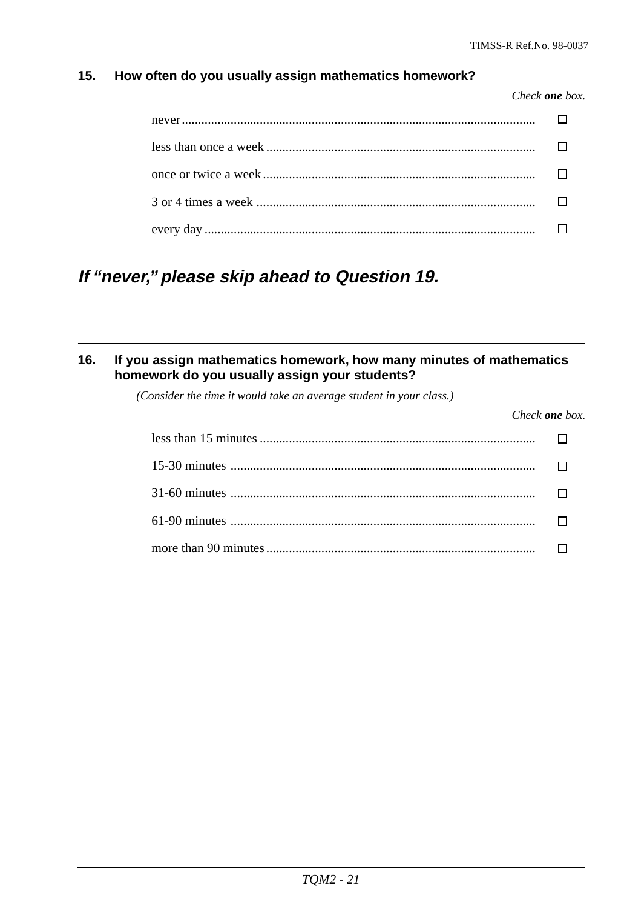### **15. How often do you usually assign mathematics homework?**

*Check one box.*

## **If "never," please skip ahead to Question 19.**

### **16. If you assign mathematics homework, how many minutes of mathematics homework do you usually assign your students?**

*(Consider the time it would take an average student in your class.)*

*Check one box.*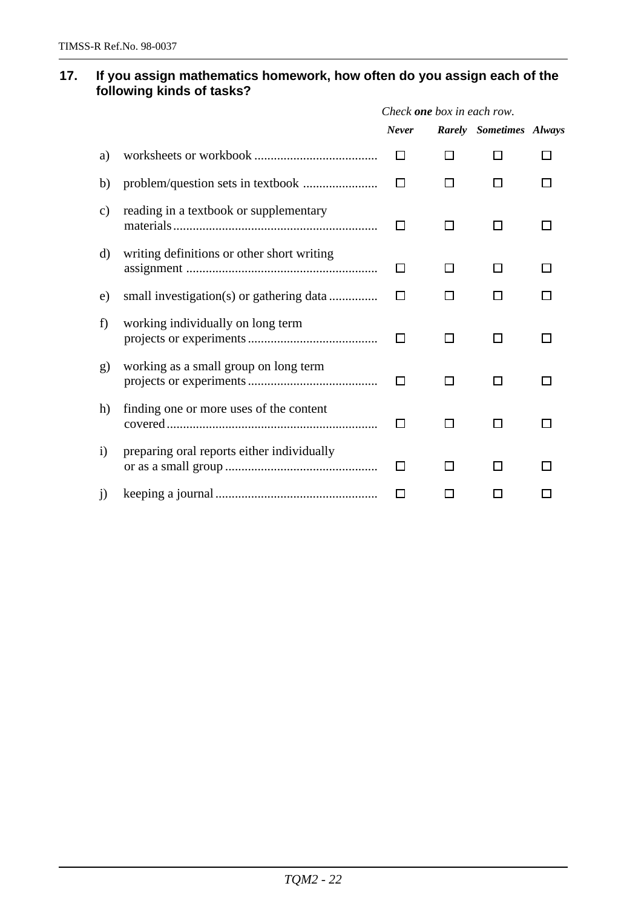#### **17. If you assign mathematics homework, how often do you assign each of the following kinds of tasks?**

|                 |                                            | Check <b>one</b> box in each row. |              |                         |  |  |  |
|-----------------|--------------------------------------------|-----------------------------------|--------------|-------------------------|--|--|--|
|                 |                                            | <b>Never</b>                      |              | Rarely Sometimes Always |  |  |  |
| a)              |                                            | П                                 | П            |                         |  |  |  |
| b)              |                                            |                                   |              |                         |  |  |  |
| $\mathcal{C}$ ) | reading in a textbook or supplementary     | $\perp$                           |              | ΙI                      |  |  |  |
| d)              | writing definitions or other short writing | П                                 | $\mathsf{L}$ |                         |  |  |  |
| e)              |                                            |                                   |              |                         |  |  |  |
| f)              | working individually on long term          | ΙI                                | ΙI           | ΙI                      |  |  |  |
| g)              | working as a small group on long term      | П                                 | П            | П                       |  |  |  |
| h)              | finding one or more uses of the content    | П                                 | ΙI           | ΙI                      |  |  |  |
| $\mathbf{i}$    | preparing oral reports either individually | П                                 |              |                         |  |  |  |
| j)              |                                            |                                   |              |                         |  |  |  |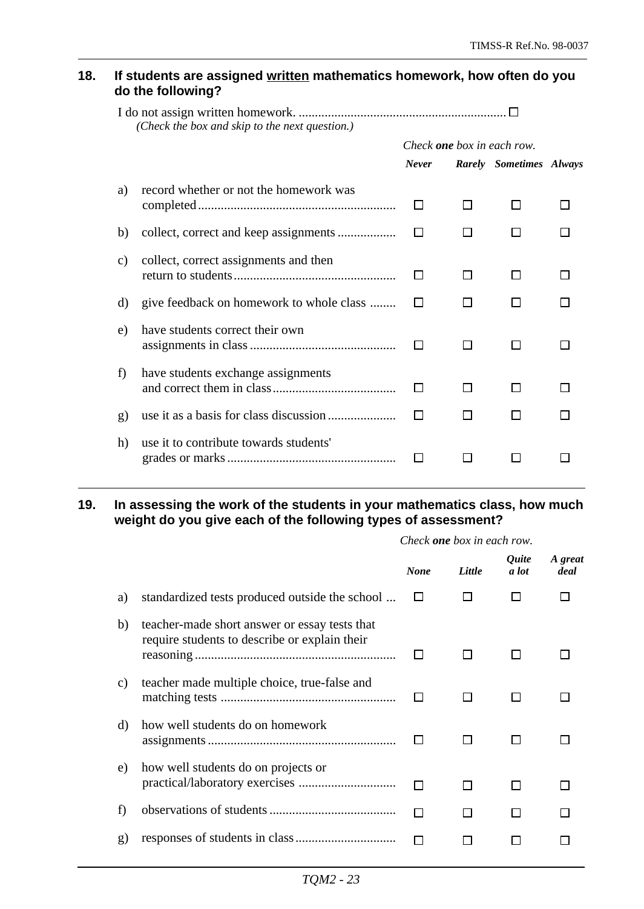#### **18. If students are assigned written mathematics homework, how often do you do the following?**

|    | (Check the box and skip to the next question.) |                                   |    |                         |  |
|----|------------------------------------------------|-----------------------------------|----|-------------------------|--|
|    |                                                | Check <b>one</b> box in each row. |    |                         |  |
|    |                                                | <b>Never</b>                      |    | Rarely Sometimes Always |  |
| a) | record whether or not the homework was         | ப                                 | ΙI |                         |  |
| b) |                                                | $\Box$                            |    |                         |  |
| C) | collect, correct assignments and then          | $\mathsf{L}$                      | П  | LΙ                      |  |
| d) | give feedback on homework to whole class       |                                   |    |                         |  |
| e) | have students correct their own                |                                   | П  | ΙI                      |  |
| f) | have students exchange assignments             | $\mathsf{L}$                      | H  |                         |  |
| g) |                                                |                                   |    |                         |  |
| h) | use it to contribute towards students'         |                                   |    |                         |  |

#### **19. In assessing the work of the students in your mathematics class, how much weight do you give each of the following types of assessment?**

|       |                                                                                                |              | Check <b>one</b> box in each row. |                       |                 |  |  |
|-------|------------------------------------------------------------------------------------------------|--------------|-----------------------------------|-----------------------|-----------------|--|--|
|       |                                                                                                | <b>None</b>  | Little                            | <i>Ouite</i><br>a lot | A great<br>deal |  |  |
| a)    | standardized tests produced outside the school                                                 | $\mathbf{I}$ |                                   |                       |                 |  |  |
| b)    | teacher-made short answer or essay tests that<br>require students to describe or explain their |              |                                   |                       |                 |  |  |
| c)    | teacher made multiple choice, true-false and                                                   |              |                                   |                       |                 |  |  |
| d)    | how well students do on homework                                                               |              |                                   |                       |                 |  |  |
| e)    | how well students do on projects or                                                            | П            | l I                               |                       |                 |  |  |
| $\pm$ |                                                                                                |              |                                   |                       |                 |  |  |
| g)    |                                                                                                |              |                                   |                       |                 |  |  |
|       |                                                                                                |              |                                   |                       |                 |  |  |